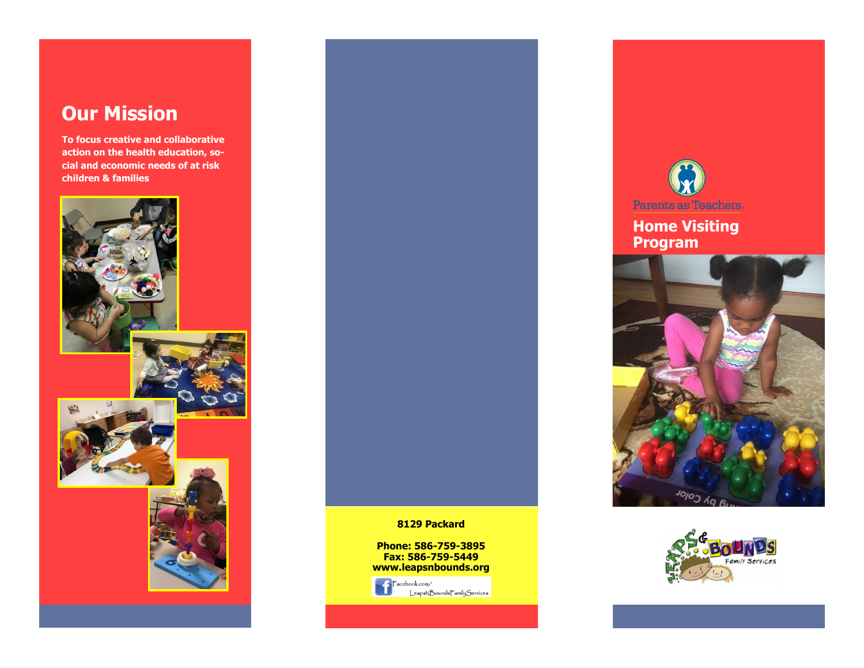# **Our Mission**

**To focus creative and collaborative action on the health education, social and economic needs of at risk children & families**





#### **8129 Packard**

**Phone: 586-759-3895 Fax: 586-759-5449 www.leapsnbounds.org** 





## **Home Visiting Program**